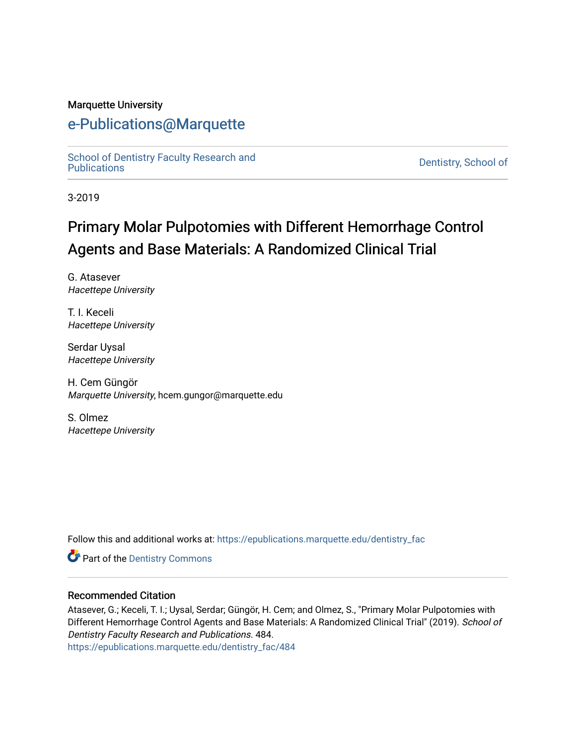#### Marquette University

## [e-Publications@Marquette](https://epublications.marquette.edu/)

School of Dentistry Faculty Research and<br>Publications

Dentistry, School of

3-2019

# Primary Molar Pulpotomies with Different Hemorrhage Control Agents and Base Materials: A Randomized Clinical Trial

G. Atasever Hacettepe University

T. I. Keceli Hacettepe University

Serdar Uysal Hacettepe University

H. Cem Güngör Marquette University, hcem.gungor@marquette.edu

S. Olmez Hacettepe University

Follow this and additional works at: [https://epublications.marquette.edu/dentistry\\_fac](https://epublications.marquette.edu/dentistry_fac?utm_source=epublications.marquette.edu%2Fdentistry_fac%2F484&utm_medium=PDF&utm_campaign=PDFCoverPages) 

**Part of the Dentistry Commons** 

#### Recommended Citation

Atasever, G.; Keceli, T. I.; Uysal, Serdar; Güngör, H. Cem; and Olmez, S., "Primary Molar Pulpotomies with Different Hemorrhage Control Agents and Base Materials: A Randomized Clinical Trial" (2019). School of Dentistry Faculty Research and Publications. 484.

[https://epublications.marquette.edu/dentistry\\_fac/484](https://epublications.marquette.edu/dentistry_fac/484?utm_source=epublications.marquette.edu%2Fdentistry_fac%2F484&utm_medium=PDF&utm_campaign=PDFCoverPages)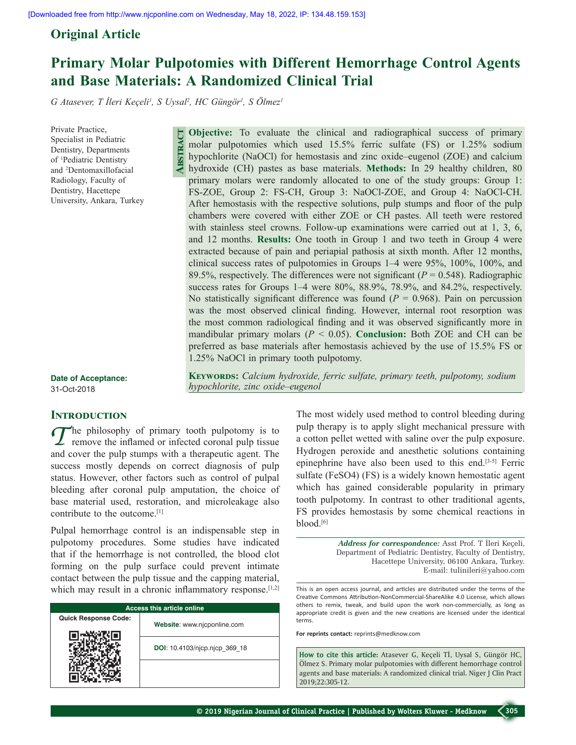### **Original Article**

## **Primary Molar Pulpotomies with Different Hemorrhage Control Agents and Base Materials: A Randomized Clinical Trial**

*G Atasever, T İleri Keçeli<sup>1</sup> , S Uysal2 , HC Güngör1 , S Ölmez1*

**Abstract**

Private Practice, Specialist in Pediatric Dentistry, Departments of 1 Pediatric Dentistry and 2 Dentomaxillofacial Radiology, Faculty of Dentistry, Hacettepe University, Ankara, Turkey

**Objective:** To evaluate the clinical and radiographical success of primary molar pulpotomies which used 15.5% ferric sulfate (FS) or 1.25% sodium hypochlorite (NaOCl) for hemostasis and zinc oxide–eugenol (ZOE) and calcium hydroxide (CH) pastes as base materials. **Methods:** In 29 healthy children, 80 primary molars were randomly allocated to one of the study groups: Group 1: FS-ZOE, Group 2: FS-CH, Group 3: NaOCl-ZOE, and Group 4: NaOCl-CH. After hemostasis with the respective solutions, pulp stumps and floor of the pulp chambers were covered with either ZOE or CH pastes. All teeth were restored with stainless steel crowns. Follow-up examinations were carried out at 1, 3, 6, and 12 months. **Results:** One tooth in Group 1 and two teeth in Group 4 were extracted because of pain and periapial pathosis at sixth month. After 12 months, clinical success rates of pulpotomies in Groups 1–4 were 95%, 100%, 100%, and 89.5%, respectively. The differences were not significant  $(P = 0.548)$ . Radiographic success rates for Groups 1–4 were 80%, 88.9%, 78.9%, and 84.2%, respectively. No statistically significant difference was found  $(P = 0.968)$ . Pain on percussion was the most observed clinical finding. However, internal root resorption was the most common radiological finding and it was observed significantly more in mandibular primary molars ( $P < 0.05$ ). **Conclusion:** Both ZOE and CH can be preferred as base materials after hemostasis achieved by the use of 15.5% FS or 1.25% NaOCl in primary tooth pulpotomy.

**Date of Acceptance:** 31-Oct-2018

#### **INTRODUCTION**

 $\sum$  he philosophy of primary tooth pulpotomy is to remove the inflamed or infected coronal pulp tissue and cover the pulp stumps with a therapeutic agent. The success mostly depends on correct diagnosis of pulp status. However, other factors such as control of pulpal bleeding after coronal pulp amputation, the choice of base material used, restoration, and microleakage also contribute to the outcome.[1]

Pulpal hemorrhage control is an indispensable step in pulpotomy procedures. Some studies have indicated that if the hemorrhage is not controlled, the blood clot forming on the pulp surface could prevent intimate contact between the pulp tissue and the capping material, which may result in a chronic inflammatory response.<sup>[1,2]</sup>

| <b>Access this article online</b> |                               |  |  |  |  |
|-----------------------------------|-------------------------------|--|--|--|--|
| <b>Quick Response Code:</b>       | Website: www.njcponline.com   |  |  |  |  |
|                                   | DOI: 10.4103/njcp.njcp 369 18 |  |  |  |  |
|                                   |                               |  |  |  |  |

**KEYWORDS:** *Calcium hydroxide, ferric sulfate, primary teeth, pulpotomy, sodium hypochlorite, zinc oxide–eugenol*

> The most widely used method to control bleeding during pulp therapy is to apply slight mechanical pressure with a cotton pellet wetted with saline over the pulp exposure. Hydrogen peroxide and anesthetic solutions containing epinephrine have also been used to this end.[3‑5] Ferric sulfate (FeSO4) (FS) is a widely known hemostatic agent which has gained considerable popularity in primary tooth pulpotomy. In contrast to other traditional agents, FS provides hemostasis by some chemical reactions in blood.<sup>[6]</sup>

> > *Address for correspondence:* Asst Prof. T İleri Keçeli, Department of Pediatric Dentistry, Faculty of Dentistry, Hacettepe University, 06100 Ankara, Turkey. E‑mail: tulinileri@yahoo.com

**For reprints contact:** reprints@medknow.com

**How to cite this article:** Atasever G, Keçeli Tİ, Uysal S, Güngör HC, Ölmez S. Primary molar pulpotomies with different hemorrhage control agents and base materials: A randomized clinical trial. Niger J Clin Pract 2019;22:305-12. others to remix, tweak, and build upon the work non-commercially, as long as<br>appropriate credit is given and the new creations are licensed under the identical<br>terms.<br>For reprints contact: reprints@medknow.com<br>How to cite Jysal S, Güngör HC,<br>themorrhage control<br>ial. Niger J Clin Pract

This is an open access journal, and articles are distributed under the terms of the Creative Commons Attribution‑NonCommercial‑ShareAlike 4.0 License, which allows others to remix, tweak, and build upon the work non‑commercially, as long as appropriate credit is given and the new creations are licensed under the identical terms.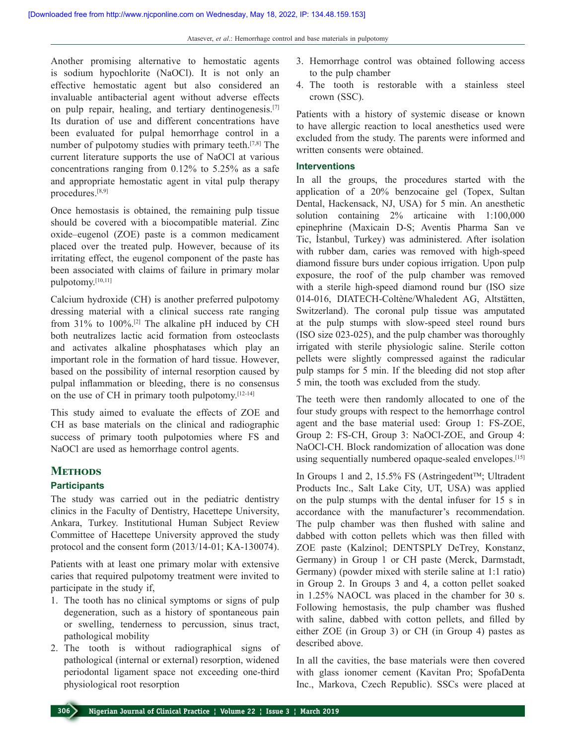Another promising alternative to hemostatic agents is sodium hypochlorite (NaOCl). It is not only an effective hemostatic agent but also considered an invaluable antibacterial agent without adverse effects on pulp repair, healing, and tertiary dentinogenesis.[7] Its duration of use and different concentrations have been evaluated for pulpal hemorrhage control in a number of pulpotomy studies with primary teeth.[7,8] The current literature supports the use of NaOCl at various concentrations ranging from 0.12% to 5.25% as a safe and appropriate hemostatic agent in vital pulp therapy procedures.[8,9]

Once hemostasis is obtained, the remaining pulp tissue should be covered with a biocompatible material. Zinc oxide–eugenol (ZOE) paste is a common medicament placed over the treated pulp. However, because of its irritating effect, the eugenol component of the paste has been associated with claims of failure in primary molar pulpotomy.[10,11]

Calcium hydroxide (CH) is another preferred pulpotomy dressing material with a clinical success rate ranging from 31% to 100%.[2] The alkaline pH induced by CH both neutralizes lactic acid formation from osteoclasts and activates alkaline phosphatases which play an important role in the formation of hard tissue. However, based on the possibility of internal resorption caused by pulpal inflammation or bleeding, there is no consensus on the use of CH in primary tooth pulpotomy. $[12-14]$ 

This study aimed to evaluate the effects of ZOE and CH as base materials on the clinical and radiographic success of primary tooth pulpotomies where FS and NaOCl are used as hemorrhage control agents.

### **Methods**

#### **Participants**

The study was carried out in the pediatric dentistry clinics in the Faculty of Dentistry, Hacettepe University, Ankara, Turkey. Institutional Human Subject Review Committee of Hacettepe University approved the study protocol and the consent form  $(2013/14-01; KA-130074)$ .

Patients with at least one primary molar with extensive caries that required pulpotomy treatment were invited to participate in the study if,

- 1. The tooth has no clinical symptoms or signs of pulp degeneration, such as a history of spontaneous pain or swelling, tenderness to percussion, sinus tract, pathological mobility
- 2. The tooth is without radiographical signs of pathological (internal or external) resorption, widened periodontal ligament space not exceeding one‑third physiological root resorption
- 3. Hemorrhage control was obtained following access to the pulp chamber
- 4. The tooth is restorable with a stainless steel crown (SSC).

Patients with a history of systemic disease or known to have allergic reaction to local anesthetics used were excluded from the study. The parents were informed and written consents were obtained.

#### **Interventions**

In all the groups, the procedures started with the application of a 20% benzocaine gel (Topex, Sultan Dental, Hackensack, NJ, USA) for 5 min. An anesthetic solution containing 2% articaine with 1:100,000 epinephrine (Maxicain D‑S; Aventis Pharma San ve Tic, İstanbul, Turkey) was administered. After isolation with rubber dam, caries was removed with high-speed diamond fissure burs under copious irrigation. Upon pulp exposure, the roof of the pulp chamber was removed with a sterile high-speed diamond round bur (ISO size 014‑016, DIATECH‑Coltène/Whaledent AG, Altstätten, Switzerland). The coronal pulp tissue was amputated at the pulp stumps with slow‑speed steel round burs (ISO size 023‑025), and the pulp chamber was thoroughly irrigated with sterile physiologic saline. Sterile cotton pellets were slightly compressed against the radicular pulp stamps for 5 min. If the bleeding did not stop after 5 min, the tooth was excluded from the study.

The teeth were then randomly allocated to one of the four study groups with respect to the hemorrhage control agent and the base material used: Group 1: FS‑ZOE, Group 2: FS-CH, Group 3: NaOCl-ZOE, and Group 4: NaOCl-CH. Block randomization of allocation was done using sequentially numbered opaque-sealed envelopes.<sup>[15]</sup>

In Groups 1 and 2, 15.5% FS (Astringedent<sup>TM</sup>; Ultradent Products Inc., Salt Lake City, UT, USA) was applied on the pulp stumps with the dental infuser for 15 s in accordance with the manufacturer's recommendation. The pulp chamber was then flushed with saline and dabbed with cotton pellets which was then filled with ZOE paste (Kalzinol; DENTSPLY DeTrey, Konstanz, Germany) in Group 1 or CH paste (Merck, Darmstadt, Germany) (powder mixed with sterile saline at 1:1 ratio) in Group 2. In Groups 3 and 4, a cotton pellet soaked in 1.25% NAOCL was placed in the chamber for 30 s. Following hemostasis, the pulp chamber was flushed with saline, dabbed with cotton pellets, and filled by either ZOE (in Group 3) or CH (in Group 4) pastes as described above.

In all the cavities, the base materials were then covered with glass ionomer cement (Kavitan Pro; SpofaDenta Inc., Markova, Czech Republic). SSCs were placed at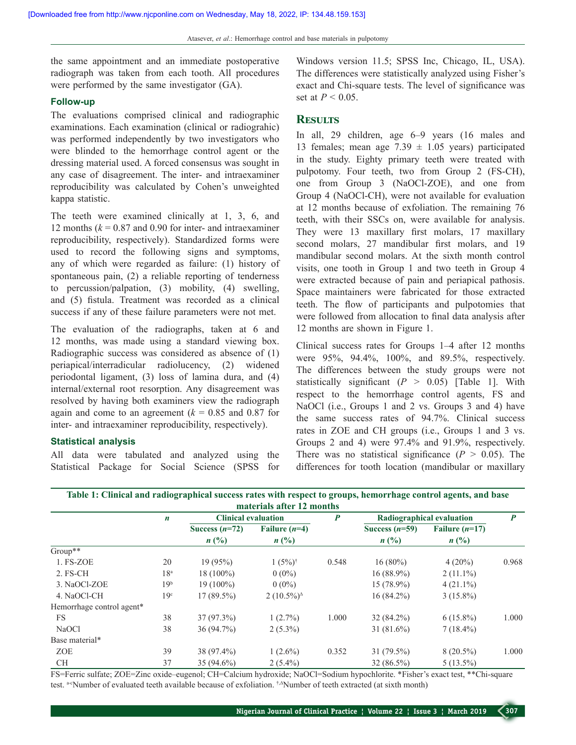the same appointment and an immediate postoperative radiograph was taken from each tooth. All procedures were performed by the same investigator (GA).

#### **Follow‑up**

The evaluations comprised clinical and radiographic examinations. Each examination (clinical or radiograhic) was performed independently by two investigators who were blinded to the hemorrhage control agent or the dressing material used. A forced consensus was sought in any case of disagreement. The inter‑ and intraexaminer reproducibility was calculated by Cohen's unweighted kappa statistic.

The teeth were examined clinically at 1, 3, 6, and 12 months  $(k = 0.87$  and 0.90 for inter- and intraexaminer reproducibility, respectively). Standardized forms were used to record the following signs and symptoms, any of which were regarded as failure: (1) history of spontaneous pain, (2) a reliable reporting of tenderness to percussion/palpation, (3) mobility, (4) swelling, and (5) fistula. Treatment was recorded as a clinical success if any of these failure parameters were not met.

The evaluation of the radiographs, taken at 6 and 12 months, was made using a standard viewing box. Radiographic success was considered as absence of (1) periapical/interradicular radiolucency, (2) widened periodontal ligament, (3) loss of lamina dura, and (4) internal/external root resorption. Any disagreement was resolved by having both examiners view the radiograph again and come to an agreement  $(k = 0.85$  and 0.87 for inter- and intraexaminer reproducibility, respectively).

#### **Statistical analysis**

All data were tabulated and analyzed using the Statistical Package for Social Science (SPSS for

Windows version 11.5; SPSS Inc, Chicago, IL, USA). The differences were statistically analyzed using Fisher's exact and Chi‑square tests. The level of significance was set at *P* < 0.05.

#### **Results**

In all, 29 children, age 6–9 years (16 males and 13 females; mean age  $7.39 \pm 1.05$  years) participated in the study. Eighty primary teeth were treated with pulpotomy. Four teeth, two from Group 2 (FS‑CH), one from Group 3 (NaOCl-ZOE), and one from Group 4 (NaOCl-CH), were not available for evaluation at 12 months because of exfoliation. The remaining 76 teeth, with their SSCs on, were available for analysis. They were 13 maxillary first molars, 17 maxillary second molars, 27 mandibular first molars, and 19 mandibular second molars. At the sixth month control visits, one tooth in Group 1 and two teeth in Group 4 were extracted because of pain and periapical pathosis. Space maintainers were fabricated for those extracted teeth. The flow of participants and pulpotomies that were followed from allocation to final data analysis after 12 months are shown in Figure 1.

Clinical success rates for Groups 1–4 after 12 months were 95%, 94.4%, 100%, and 89.5%, respectively. The differences between the study groups were not statistically significant  $(P > 0.05)$  [Table 1]. With respect to the hemorrhage control agents, FS and NaOCl (i.e., Groups 1 and 2 vs. Groups 3 and 4) have the same success rates of 94.7%. Clinical success rates in ZOE and CH groups (i.e., Groups 1 and 3 vs. Groups 2 and 4) were 97.4% and 91.9%, respectively. There was no statistical significance  $(P > 0.05)$ . The differences for tooth location (mandibular or maxillary

| materials after 12 months |                  |                             |                             |       |                           |                             |       |
|---------------------------|------------------|-----------------------------|-----------------------------|-------|---------------------------|-----------------------------|-------|
|                           | $\boldsymbol{n}$ | <b>Clinical evaluation</b>  |                             | P     | Radiographical evaluation |                             | P     |
|                           |                  | Success $(n=72)$            | Failure $(n=4)$             |       | Success $(n=59)$          | Failure $(n=17)$            |       |
|                           |                  | $n\left(\frac{0}{0}\right)$ | $n\left(\frac{0}{0}\right)$ |       | $n(^{0}/_{0})$            | $n\left(\frac{0}{0}\right)$ |       |
| $Group**$                 |                  |                             |                             |       |                           |                             |       |
| 1. FS-ZOE                 | 20               | 19(95%)                     | $1(5\%)^{\dagger}$          | 0.548 | $16(80\%)$                | $4(20\%)$                   | 0.968 |
| $2.$ FS-CH                | 18 <sup>a</sup>  | $18(100\%)$                 | $0(0\%)$                    |       | $16(88.9\%)$              | $2(11.1\%)$                 |       |
| 3. NaOCl-ZOE              | 19 <sup>b</sup>  | $19(100\%)$                 | $0(0\%)$                    |       | $15(78.9\%)$              | $4(21.1\%)$                 |       |
| 4. NaOCl-CH               | 19 <sup>c</sup>  | $17(89.5\%)$                | $2(10.5\%)^{\Delta}$        |       | $16(84.2\%)$              | $3(15.8\%)$                 |       |
| Hemorrhage control agent* |                  |                             |                             |       |                           |                             |       |
| <b>FS</b>                 | 38               | $37(97.3\%)$                | $1(2.7\%)$                  | 1.000 | $32(84.2\%)$              | $6(15.8\%)$                 | 1.000 |
| <b>NaOCl</b>              | 38               | 36(94.7%)                   | $2(5.3\%)$                  |       | $31(81.6\%)$              | $7(18.4\%)$                 |       |
| Base material*            |                  |                             |                             |       |                           |                             |       |
| <b>ZOE</b>                | 39               | 38 (97.4%)                  | $1(2.6\%)$                  | 0.352 | $31(79.5\%)$              | $8(20.5\%)$                 | 1.000 |
| <b>CH</b>                 | 37               | $35(94.6\%)$                | $2(5.4\%)$                  |       | $32(86.5\%)$              | $5(13.5\%)$                 |       |

FS=Ferric sulfate; ZOE=Zinc oxide–eugenol; CH=Calcium hydroxide; NaOCl=Sodium hypochlorite. \*Fisher's exact test, \*\*Chi-square test. <sup>a-c</sup>Number of evaluated teeth available because of exfoliation. <sup>†</sup>,∆Number of teeth extracted (at sixth month)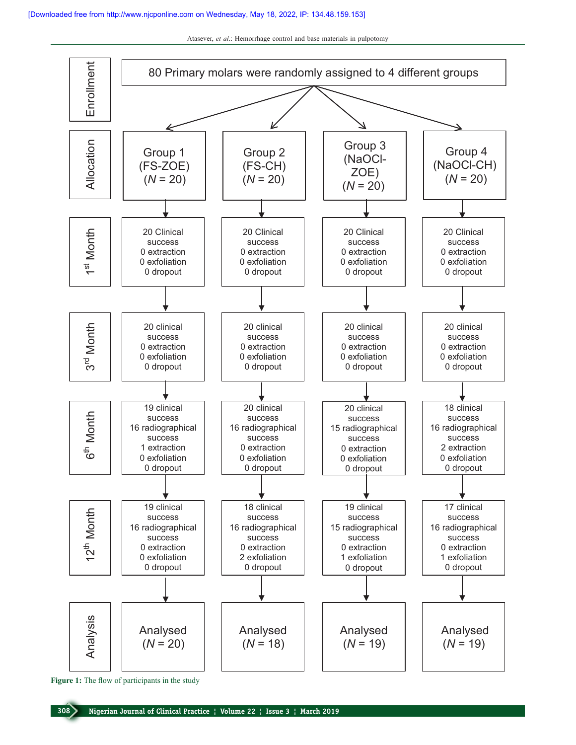

**Figure 1:** The flow of participants in the study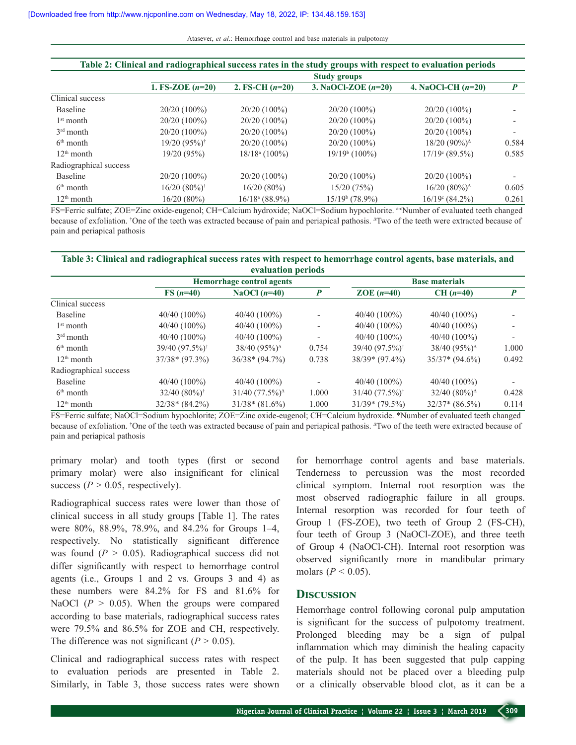| Table 2: Clinical and radiographical success rates in the study groups with respect to evaluation periods |                            |                             |                       |                                                 |       |  |  |
|-----------------------------------------------------------------------------------------------------------|----------------------------|-----------------------------|-----------------------|-------------------------------------------------|-------|--|--|
|                                                                                                           | <b>Study groups</b>        |                             |                       |                                                 |       |  |  |
|                                                                                                           | 1. FS-ZOE $(n=20)$         | 2. FS-CH $(n=20)$           | 3. NaOCl-ZOE $(n=20)$ | 4. NaOCl-CH $(n=20)$                            | P     |  |  |
| Clinical success                                                                                          |                            |                             |                       |                                                 |       |  |  |
| <b>Baseline</b>                                                                                           | $20/20(100\%)$             | $20/20(100\%)$              | $20/20(100\%)$        | $20/20(100\%)$                                  |       |  |  |
| $1st$ month                                                                                               | $20/20(100\%)$             | $20/20(100\%)$              | $20/20(100\%)$        | $20/20(100\%)$                                  |       |  |  |
| $3rd$ month                                                                                               | 20/20 (100%)               | $20/20(100\%)$              | $20/20(100\%)$        | $20/20(100\%)$                                  |       |  |  |
| $6th$ month                                                                                               | $19/20(95%)$ <sup>†</sup>  | $20/20(100\%)$              | $20/20(100\%)$        | $18/20$ (90%) <sup><math>\triangle</math></sup> | 0.584 |  |  |
| $12th$ month                                                                                              | 19/20 (95%)                | $18/18$ <sup>a</sup> (100%) | $19/19b$ (100%)       | $17/19$ <sup>c</sup> (89.5%)                    | 0.585 |  |  |
| Radiographical success                                                                                    |                            |                             |                       |                                                 |       |  |  |
| Baseline                                                                                                  | 20/20 (100%)               | $20/20(100\%)$              | $20/20(100\%)$        | $20/20(100\%)$                                  |       |  |  |
| $6th$ month                                                                                               | $16/20(80\%)$ <sup>†</sup> | 16/20(80%)                  | 15/20(75%)            | $16/20 (80\%)^{\Delta}$                         | 0.605 |  |  |
| $12th$ month                                                                                              | 16/20(80%)                 | $16/18^a (88.9\%)$          | $15/19b$ (78.9%)      | $16/19$ <sup>c</sup> (84.2%)                    | 0.261 |  |  |

FS=Ferric sulfate; ZOE=Zinc oxide-eugenol; CH=Calcium hydroxide; NaOCl=Sodium hypochlorite. a-c Number of evaluated teeth changed because of exfoliation. † One of the teeth was extracted because of pain and periapical pathosis. <sup>∆</sup>Two of the teeth were extracted because of pain and periapical pathosis

#### **Table 3: Clinical and radiographical success rates with respect to hemorrhage control agents, base materials, and evaluation periods**

|                        |                            | Hemorrhage control agents   |                          |                            | <b>Base materials</b>                         |       |  |
|------------------------|----------------------------|-----------------------------|--------------------------|----------------------------|-----------------------------------------------|-------|--|
|                        | $FS(n=40)$                 | NaOCl $(n=40)$              | $\boldsymbol{P}$         | ZOE $(n=40)$               | $CH (n=40)$                                   | P     |  |
| Clinical success       |                            |                             |                          |                            |                                               |       |  |
| <b>Baseline</b>        | $40/40(100\%)$             | $40/40(100\%)$              | $\overline{\phantom{a}}$ | $40/40(100\%)$             | 40/40 (100%)                                  |       |  |
| $1st$ month            | $40/40(100\%)$             | $40/40(100\%)$              | $\overline{\phantom{a}}$ | $40/40(100\%)$             | $40/40(100\%)$                                |       |  |
| $3rd$ month            | $40/40(100\%)$             | $40/40(100\%)$              | $\overline{\phantom{a}}$ | $40/40(100\%)$             | $40/40(100\%)$                                |       |  |
| $6th$ month            | 39/40 (97.5%) <sup>†</sup> | $38/40 (95\%)^{\Delta}$     | 0.754                    | 39/40 (97.5%) <sup>†</sup> | 38/40 (95%) <sup><math>\triangle</math></sup> | 1.000 |  |
| $12th$ month           | $37/38*(97.3%)$            | $36/38*(94.7%)$             | 0.738                    | $38/39*(97.4%)$            | $35/37*(94.6%)$                               | 0.492 |  |
| Radiographical success |                            |                             |                          |                            |                                               |       |  |
| Baseline               | $40/40(100\%)$             | $40/40(100\%)$              | $\overline{\phantom{a}}$ | $40/40(100\%)$             | $40/40(100\%)$                                |       |  |
| $6th$ month            | $32/40 (80\%)^{\dagger}$   | $31/40$ $(77.5\%)^{\Delta}$ | 1.000                    | $31/40 (77.5\%)^{\dagger}$ | $32/40 (80\%)^{\Delta}$                       | 0.428 |  |
| $12th$ month           | $32/38*(84.2%)$            | $31/38*(81.6%)$             | 1.000                    | $31/39*(79.5%)$            | $32/37*(86.5%)$                               | 0.114 |  |

FS=Ferric sulfate; NaOCl=Sodium hypochlorite; ZOE=Zinc oxide-eugenol; CH=Calcium hydroxide. \*Number of evaluated teeth changed because of exfoliation. † One of the teeth was extracted because of pain and periapical pathosis. <sup>∆</sup>Two of the teeth were extracted because of pain and periapical pathosis

primary molar) and tooth types (first or second primary molar) were also insignificant for clinical success ( $P > 0.05$ , respectively).

Radiographical success rates were lower than those of clinical success in all study groups [Table 1]. The rates were 80%, 88.9%, 78.9%, and 84.2% for Groups 1–4, respectively. No statistically significant difference was found  $(P > 0.05)$ . Radiographical success did not differ significantly with respect to hemorrhage control agents (i.e., Groups 1 and 2 vs. Groups 3 and 4) as these numbers were 84.2% for FS and 81.6% for NaOCl  $(P > 0.05)$ . When the groups were compared according to base materials, radiographical success rates were 79.5% and 86.5% for ZOE and CH, respectively. The difference was not significant  $(P > 0.05)$ .

Clinical and radiographical success rates with respect to evaluation periods are presented in Table 2. Similarly, in Table 3, those success rates were shown for hemorrhage control agents and base materials. Tenderness to percussion was the most recorded clinical symptom. Internal root resorption was the most observed radiographic failure in all groups. Internal resorption was recorded for four teeth of Group 1 (FS-ZOE), two teeth of Group 2 (FS-CH), four teeth of Group 3 (NaOCl-ZOE), and three teeth of Group 4 (NaOCl-CH). Internal root resorption was observed significantly more in mandibular primary molars ( $P < 0.05$ ).

#### **Discussion**

Hemorrhage control following coronal pulp amputation is significant for the success of pulpotomy treatment. Prolonged bleeding may be a sign of pulpal inflammation which may diminish the healing capacity of the pulp. It has been suggested that pulp capping materials should not be placed over a bleeding pulp or a clinically observable blood clot, as it can be a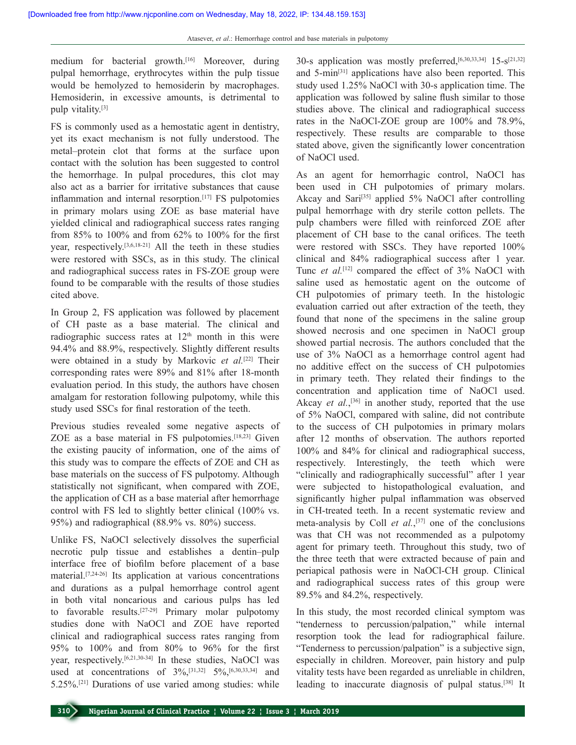medium for bacterial growth.[16] Moreover, during pulpal hemorrhage, erythrocytes within the pulp tissue would be hemolyzed to hemosiderin by macrophages. Hemosiderin, in excessive amounts, is detrimental to pulp vitality.[3]

FS is commonly used as a hemostatic agent in dentistry, yet its exact mechanism is not fully understood. The metal–protein clot that forms at the surface upon contact with the solution has been suggested to control the hemorrhage. In pulpal procedures, this clot may also act as a barrier for irritative substances that cause inflammation and internal resorption.<sup>[17]</sup> FS pulpotomies in primary molars using ZOE as base material have yielded clinical and radiographical success rates ranging from 85% to 100% and from 62% to 100% for the first year, respectively.[3,6,18‑21] All the teeth in these studies were restored with SSCs, as in this study. The clinical and radiographical success rates in FS‑ZOE group were found to be comparable with the results of those studies cited above.

In Group 2, FS application was followed by placement of CH paste as a base material. The clinical and radiographic success rates at  $12<sup>th</sup>$  month in this were 94.4% and 88.9%, respectively. Slightly different results were obtained in a study by Markovic *et al.*[22] Their corresponding rates were 89% and 81% after 18‑month evaluation period. In this study, the authors have chosen amalgam for restoration following pulpotomy, while this study used SSCs for final restoration of the teeth.

Previous studies revealed some negative aspects of ZOE as a base material in FS pulpotomies.[18,23] Given the existing paucity of information, one of the aims of this study was to compare the effects of ZOE and CH as base materials on the success of FS pulpotomy. Although statistically not significant, when compared with ZOE, the application of CH as a base material after hemorrhage control with FS led to slightly better clinical (100% vs. 95%) and radiographical (88.9% vs. 80%) success.

Unlike FS, NaOCl selectively dissolves the superficial necrotic pulp tissue and establishes a dentin–pulp interface free of biofilm before placement of a base material.[7,24‑26] Its application at various concentrations and durations as a pulpal hemorrhage control agent in both vital noncarious and carious pulps has led to favorable results.<sup>[27-29]</sup> Primary molar pulpotomy studies done with NaOCl and ZOE have reported clinical and radiographical success rates ranging from 95% to 100% and from 80% to 96% for the first year, respectively.<sup>[6,21,30-34]</sup> In these studies, NaOCl was used at concentrations of  $3\%,$ <sup>[31,32]</sup>  $5\%,$ <sup>[6,30,33,34]</sup> and 5.25%.[21] Durations of use varied among studies: while

30‑s application was mostly preferred,[6,30,33,34] 15‑s[21,32] and 5-min<sup>[31]</sup> applications have also been reported. This study used 1.25% NaOCl with 30‑s application time. The application was followed by saline flush similar to those studies above. The clinical and radiographical success rates in the NaOCl-ZOE group are 100% and 78.9%, respectively. These results are comparable to those stated above, given the significantly lower concentration of NaOCl used.

As an agent for hemorrhagic control, NaOCl has been used in CH pulpotomies of primary molars. Akcay and Sari<sup>[35]</sup> applied 5% NaOCl after controlling pulpal hemorrhage with dry sterile cotton pellets. The pulp chambers were filled with reinforced ZOE after placement of CH base to the canal orifices. The teeth were restored with SSCs. They have reported 100% clinical and 84% radiographical success after 1 year. Tunc *et al.*[12] compared the effect of 3% NaOCl with saline used as hemostatic agent on the outcome of CH pulpotomies of primary teeth. In the histologic evaluation carried out after extraction of the teeth, they found that none of the specimens in the saline group showed necrosis and one specimen in NaOCl group showed partial necrosis. The authors concluded that the use of 3% NaOCl as a hemorrhage control agent had no additive effect on the success of CH pulpotomies in primary teeth. They related their findings to the concentration and application time of NaOCl used. Akcay *et al.*, [36] in another study, reported that the use of 5% NaOCl, compared with saline, did not contribute to the success of CH pulpotomies in primary molars after 12 months of observation. The authors reported 100% and 84% for clinical and radiographical success, respectively. Interestingly, the teeth which were "clinically and radiographically successful" after 1 year were subjected to histopathological evaluation, and significantly higher pulpal inflammation was observed in CH-treated teeth. In a recent systematic review and meta-analysis by Coll *et al.*,<sup>[37]</sup> one of the conclusions was that CH was not recommended as a pulpotomy agent for primary teeth. Throughout this study, two of the three teeth that were extracted because of pain and periapical pathosis were in NaOCl‑CH group. Clinical and radiographical success rates of this group were 89.5% and 84.2%, respectively.

In this study, the most recorded clinical symptom was "tenderness to percussion/palpation," while internal resorption took the lead for radiographical failure. "Tenderness to percussion/palpation" is a subjective sign, especially in children. Moreover, pain history and pulp vitality tests have been regarded as unreliable in children, leading to inaccurate diagnosis of pulpal status.[38] It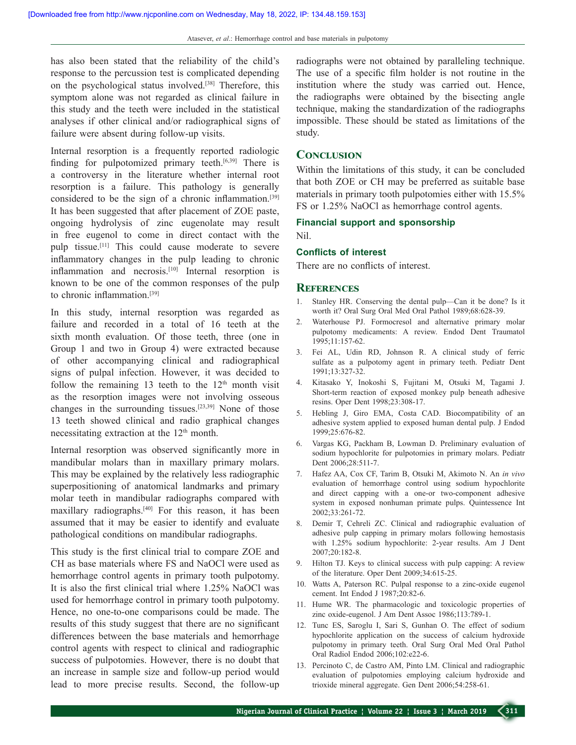has also been stated that the reliability of the child's response to the percussion test is complicated depending on the psychological status involved.[38] Therefore, this symptom alone was not regarded as clinical failure in this study and the teeth were included in the statistical analyses if other clinical and/or radiographical signs of failure were absent during follow-up visits.

Internal resorption is a frequently reported radiologic finding for pulpotomized primary teeth.<sup>[6,39]</sup> There is a controversy in the literature whether internal root resorption is a failure. This pathology is generally considered to be the sign of a chronic inflammation.[39] It has been suggested that after placement of ZOE paste, ongoing hydrolysis of zinc eugenolate may result in free eugenol to come in direct contact with the pulp tissue.[11] This could cause moderate to severe inflammatory changes in the pulp leading to chronic inflammation and necrosis.<sup>[10]</sup> Internal resorption is known to be one of the common responses of the pulp to chronic inflammation.[39]

In this study, internal resorption was regarded as failure and recorded in a total of 16 teeth at the sixth month evaluation. Of those teeth, three (one in Group 1 and two in Group 4) were extracted because of other accompanying clinical and radiographical signs of pulpal infection. However, it was decided to follow the remaining 13 teeth to the  $12<sup>th</sup>$  month visit as the resorption images were not involving osseous changes in the surrounding tissues.<sup>[23,39]</sup> None of those 13 teeth showed clinical and radio graphical changes necessitating extraction at the  $12<sup>th</sup>$  month.

Internal resorption was observed significantly more in mandibular molars than in maxillary primary molars. This may be explained by the relatively less radiographic superpositioning of anatomical landmarks and primary molar teeth in mandibular radiographs compared with maxillary radiographs.[40] For this reason, it has been assumed that it may be easier to identify and evaluate pathological conditions on mandibular radiographs.

This study is the first clinical trial to compare ZOE and CH as base materials where FS and NaOCl were used as hemorrhage control agents in primary tooth pulpotomy. It is also the first clinical trial where 1.25% NaOCl was used for hemorrhage control in primary tooth pulpotomy. Hence, no one-to-one comparisons could be made. The results of this study suggest that there are no significant differences between the base materials and hemorrhage control agents with respect to clinical and radiographic success of pulpotomies. However, there is no doubt that an increase in sample size and follow‑up period would lead to more precise results. Second, the follow-up

radiographs were not obtained by paralleling technique. The use of a specific film holder is not routine in the institution where the study was carried out. Hence, the radiographs were obtained by the bisecting angle technique, making the standardization of the radiographs impossible. These should be stated as limitations of the study.

#### **Conclusion**

Within the limitations of this study, it can be concluded that both ZOE or CH may be preferred as suitable base materials in primary tooth pulpotomies either with 15.5% FS or 1.25% NaOCl as hemorrhage control agents.

#### **Financial support and sponsorship**

Nil.

#### **Conflicts of interest**

There are no conflicts of interest.

#### **References**

- 1. Stanley HR. Conserving the dental pulp—Can it be done? Is it worth it? Oral Surg Oral Med Oral Pathol 1989;68:628‑39.
- 2. Waterhouse PJ. Formocresol and alternative primary molar pulpotomy medicaments: A review. Endod Dent Traumatol 1995;11:157‑62.
- 3. Fei AL, Udin RD, Johnson R. A clinical study of ferric sulfate as a pulpotomy agent in primary teeth. Pediatr Dent 1991;13:327‑32.
- 4. Kitasako Y, Inokoshi S, Fujitani M, Otsuki M, Tagami J. Short-term reaction of exposed monkey pulp beneath adhesive resins. Oper Dent 1998;23:308‑17.
- 5. Hebling J, Giro EMA, Costa CAD. Biocompatibility of an adhesive system applied to exposed human dental pulp. J Endod 1999;25:676‑82.
- 6. Vargas KG, Packham B, Lowman D. Preliminary evaluation of sodium hypochlorite for pulpotomies in primary molars. Pediatr Dent 2006;28:511-7.
- 7. Hafez AA, Cox CF, Tarim B, Otsuki M, Akimoto N. An *in vivo* evaluation of hemorrhage control using sodium hypochlorite and direct capping with a one-or two-component adhesive system in exposed nonhuman primate pulps. Quintessence Int 2002;33:261‑72.
- 8. Demir T, Cehreli ZC. Clinical and radiographic evaluation of adhesive pulp capping in primary molars following hemostasis with 1.25% sodium hypochlorite: 2‑year results. Am J Dent 2007;20:182‑8.
- 9. Hilton TJ. Keys to clinical success with pulp capping: A review of the literature. Oper Dent 2009;34:615‑25.
- 10. Watts A, Paterson RC. Pulpal response to a zinc‑oxide eugenol cement. Int Endod J 1987;20:82‑6.
- 11. Hume WR. The pharmacologic and toxicologic properties of zinc oxide-eugenol. J Am Dent Assoc 1986;113:789-1.
- 12. Tunc ES, Saroglu I, Sari S, Gunhan O. The effect of sodium hypochlorite application on the success of calcium hydroxide pulpotomy in primary teeth. Oral Surg Oral Med Oral Pathol Oral Radiol Endod 2006;102:e22‑6.
- 13. Percinoto C, de Castro AM, Pinto LM. Clinical and radiographic evaluation of pulpotomies employing calcium hydroxide and trioxide mineral aggregate. Gen Dent 2006;54:258‑61.